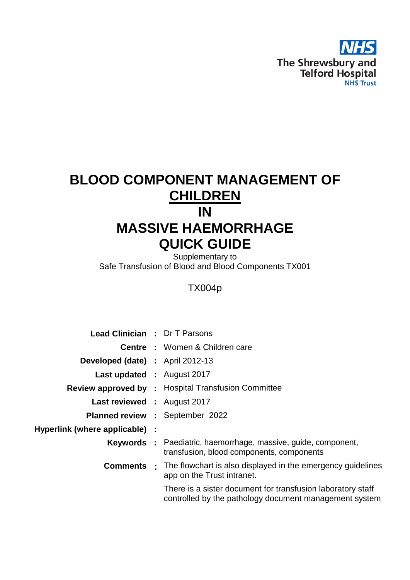

# **BLOOD COMPONENT MANAGEMENT OF CHILDREN IN MASSIVE HAEMORRHAGE QUICK GUIDE**

Supplementary to Safe Transfusion of Blood and Blood Components TX001

## TX004p

| <b>Lead Clinician : Dr T Parsons</b>    |                                                                                                                       |
|-----------------------------------------|-----------------------------------------------------------------------------------------------------------------------|
|                                         | <b>Centre : Women &amp; Children care</b>                                                                             |
| <b>Developed (date) :</b> April 2012-13 |                                                                                                                       |
| <b>Last updated : August 2017</b>       |                                                                                                                       |
|                                         | <b>Review approved by : Hospital Transfusion Committee</b>                                                            |
| <b>Last reviewed : August 2017</b>      |                                                                                                                       |
|                                         | <b>Planned review : September 2022</b>                                                                                |
| Hyperlink (where applicable) :          |                                                                                                                       |
|                                         | <b>Keywords</b> : Paediatric, haemorrhage, massive, guide, component,<br>transfusion, blood components, components    |
|                                         | <b>Comments</b> • The flowchart is also displayed in the emergency guidelines<br>app on the Trust intranet.           |
|                                         | There is a sister document for transfusion laboratory staff<br>controlled by the pathology document management system |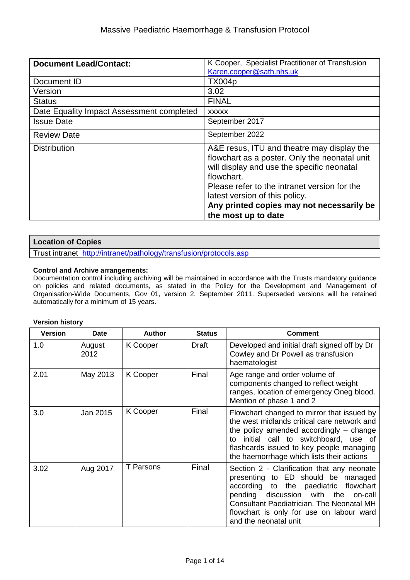| <b>Document Lead/Contact:</b>             | K Cooper, Specialist Practitioner of Transfusion<br>Karen.cooper@sath.nhs.uk                                                                                                                                                                                                                                  |
|-------------------------------------------|---------------------------------------------------------------------------------------------------------------------------------------------------------------------------------------------------------------------------------------------------------------------------------------------------------------|
| Document ID                               | <b>TX004p</b>                                                                                                                                                                                                                                                                                                 |
| Version                                   | 3.02                                                                                                                                                                                                                                                                                                          |
| <b>Status</b>                             | <b>FINAL</b>                                                                                                                                                                                                                                                                                                  |
| Date Equality Impact Assessment completed | <b>XXXXX</b>                                                                                                                                                                                                                                                                                                  |
| <b>Issue Date</b>                         | September 2017                                                                                                                                                                                                                                                                                                |
| <b>Review Date</b>                        | September 2022                                                                                                                                                                                                                                                                                                |
| <b>Distribution</b>                       | A&E resus, ITU and theatre may display the<br>flowchart as a poster. Only the neonatal unit<br>will display and use the specific neonatal<br>flowchart.<br>Please refer to the intranet version for the<br>latest version of this policy.<br>Any printed copies may not necessarily be<br>the most up to date |

## **Location of Copies**

Trust intranet <http://intranet/pathology/transfusion/protocols.asp>

#### **Control and Archive arrangements:**

Documentation control including archiving will be maintained in accordance with the Trusts mandatory guidance on policies and related documents, as stated in the Policy for the Development and Management of Organisation-Wide Documents, Gov 01, version 2, September 2011. Superseded versions will be retained automatically for a minimum of 15 years.

#### **Version history**

| <b>Version</b> | Date           | <b>Author</b> | <b>Status</b> | <b>Comment</b>                                                                                                                                                                                                                                                                                  |
|----------------|----------------|---------------|---------------|-------------------------------------------------------------------------------------------------------------------------------------------------------------------------------------------------------------------------------------------------------------------------------------------------|
| 1.0            | August<br>2012 | K Cooper      | Draft         | Developed and initial draft signed off by Dr<br>Cowley and Dr Powell as transfusion<br>haematologist                                                                                                                                                                                            |
| 2.01           | May 2013       | K Cooper      | Final         | Age range and order volume of<br>components changed to reflect weight<br>ranges, location of emergency Oneg blood.<br>Mention of phase 1 and 2                                                                                                                                                  |
| 3.0            | Jan 2015       | K Cooper      | Final         | Flowchart changed to mirror that issued by<br>the west midlands critical care network and<br>the policy amended accordingly $-$ change<br>initial call to switchboard, use of<br>t٥<br>flashcards issued to key people managing<br>the haemorrhage which lists their actions                    |
| 3.02           | Aug 2017       | T Parsons     | Final         | Section 2 - Clarification that any neonate<br>presenting to ED should be managed<br>according to the paediatric<br>flowchart<br>pending discussion with<br>the on-call<br><b>Consultant Paediatrician. The Neonatal MH</b><br>flowchart is only for use on labour ward<br>and the neonatal unit |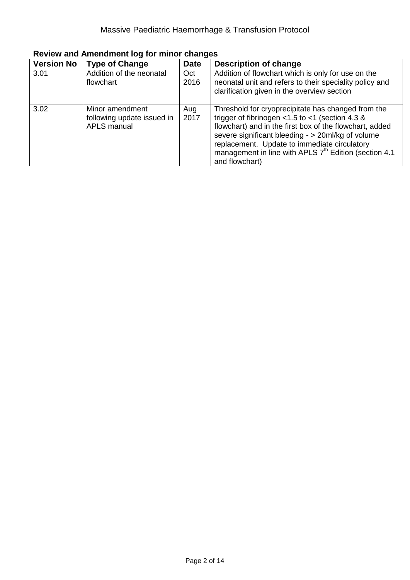| <b>Version No</b> | <b>Type of Change</b>                                        | <b>Date</b> | <b>Description of change</b>                                                                                                                                                                                                                                                                                                                                        |
|-------------------|--------------------------------------------------------------|-------------|---------------------------------------------------------------------------------------------------------------------------------------------------------------------------------------------------------------------------------------------------------------------------------------------------------------------------------------------------------------------|
| 3.01              | Addition of the neonatal<br>flowchart                        | Oct<br>2016 | Addition of flowchart which is only for use on the<br>neonatal unit and refers to their speciality policy and<br>clarification given in the overview section                                                                                                                                                                                                        |
| 3.02              | Minor amendment<br>following update issued in<br>APLS manual | Aug<br>2017 | Threshold for cryoprecipitate has changed from the<br>trigger of fibrinogen $<$ 1.5 to $<$ 1 (section 4.3 &<br>flowchart) and in the first box of the flowchart, added<br>severe significant bleeding - > 20ml/kg of volume<br>replacement. Update to immediate circulatory<br>management in line with APLS 7 <sup>th</sup> Edition (section 4.1)<br>and flowchart) |

**Review and Amendment log for minor changes**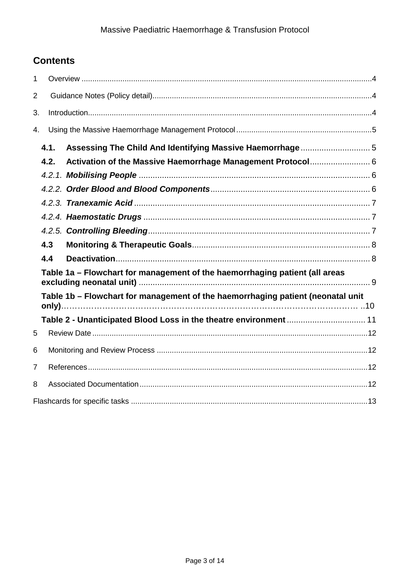## **Contents**

| 1              |      |                                                                                 |  |
|----------------|------|---------------------------------------------------------------------------------|--|
| $\overline{2}$ |      |                                                                                 |  |
| 3.             |      |                                                                                 |  |
| 4.             |      |                                                                                 |  |
|                | 4.1. |                                                                                 |  |
|                | 4.2. |                                                                                 |  |
|                |      |                                                                                 |  |
|                |      |                                                                                 |  |
|                |      |                                                                                 |  |
|                |      |                                                                                 |  |
|                |      |                                                                                 |  |
|                | 4.3  |                                                                                 |  |
|                | 4.4  |                                                                                 |  |
|                |      | Table 1a - Flowchart for management of the haemorrhaging patient (all areas     |  |
|                |      | Table 1b - Flowchart for management of the haemorrhaging patient (neonatal unit |  |
|                |      | Table 2 - Unanticipated Blood Loss in the theatre environment  11               |  |
| 5              |      |                                                                                 |  |
| 6              |      |                                                                                 |  |
| 7              |      |                                                                                 |  |
| 8              |      |                                                                                 |  |
|                |      |                                                                                 |  |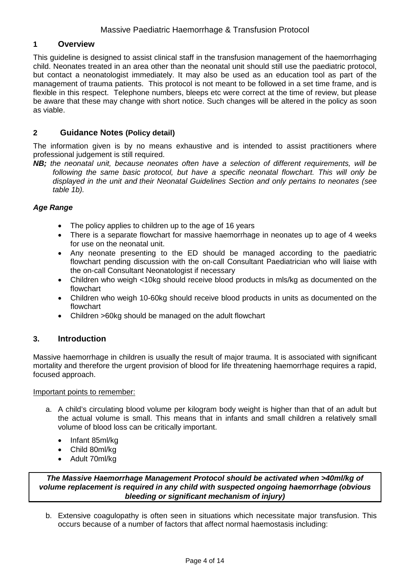## <span id="page-4-0"></span>**1 Overview**

This guideline is designed to assist clinical staff in the transfusion management of the haemorrhaging child. Neonates treated in an area other than the neonatal unit should still use the paediatric protocol, but contact a neonatologist immediately. It may also be used as an education tool as part of the management of trauma patients. This protocol is not meant to be followed in a set time frame, and is flexible in this respect. Telephone numbers, bleeps etc were correct at the time of review, but please be aware that these may change with short notice. Such changes will be altered in the policy as soon as viable.

## <span id="page-4-1"></span>**2 Guidance Notes (Policy detail)**

The information given is by no means exhaustive and is intended to assist practitioners where professional judgement is still required.

*NB; the neonatal unit, because neonates often have a selection of different requirements, will be following the same basic protocol, but have a specific neonatal flowchart. This will only be displayed in the unit and their Neonatal Guidelines Section and only pertains to neonates (see table 1b).*

#### *Age Range*

- The policy applies to children up to the age of 16 years
- There is a separate flowchart for massive haemorrhage in neonates up to age of 4 weeks for use on the neonatal unit.
- Any neonate presenting to the ED should be managed according to the paediatric flowchart pending discussion with the on-call Consultant Paediatrician who will liaise with the on-call Consultant Neonatologist if necessary
- Children who weigh <10kg should receive blood products in mls/kg as documented on the flowchart
- Children who weigh 10-60kg should receive blood products in units as documented on the flowchart
- Children >60kg should be managed on the adult flowchart

#### <span id="page-4-2"></span>**3. Introduction**

Massive haemorrhage in children is usually the result of major trauma. It is associated with significant mortality and therefore the urgent provision of blood for life threatening haemorrhage requires a rapid, focused approach.

#### Important points to remember:

- a. A child's circulating blood volume per kilogram body weight is higher than that of an adult but the actual volume is small. This means that in infants and small children a relatively small volume of blood loss can be critically important.
	- Infant 85ml/kg
	- Child 80ml/kg
	- Adult 70ml/kg

*The Massive Haemorrhage Management Protocol should be activated when >40ml/kg of volume replacement is required in any child with suspected ongoing haemorrhage (obvious bleeding or significant mechanism of injury)*

b. Extensive coagulopathy is often seen in situations which necessitate major transfusion. This occurs because of a number of factors that affect normal haemostasis including: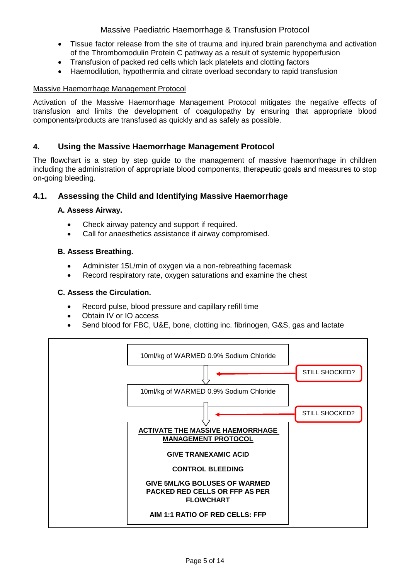## Massive Paediatric Haemorrhage & Transfusion Protocol

- Tissue factor release from the site of trauma and injured brain parenchyma and activation of the Thrombomodulin Protein C pathway as a result of systemic hypoperfusion
- Transfusion of packed red cells which lack platelets and clotting factors
- Haemodilution, hypothermia and citrate overload secondary to rapid transfusion

## Massive Haemorrhage Management Protocol

Activation of the Massive Haemorrhage Management Protocol mitigates the negative effects of transfusion and limits the development of coagulopathy by ensuring that appropriate blood components/products are transfused as quickly and as safely as possible.

## <span id="page-5-0"></span>**4. Using the Massive Haemorrhage Management Protocol**

The flowchart is a step by step guide to the management of massive haemorrhage in children including the administration of appropriate blood components, therapeutic goals and measures to stop on-going bleeding.

## <span id="page-5-1"></span>**4.1. Assessing the Child and Identifying Massive Haemorrhage**

#### **A. Assess Airway.**

- Check airway patency and support if required.
- Call for anaesthetics assistance if airway compromised.

#### **B. Assess Breathing.**

- Administer 15L/min of oxygen via a non-rebreathing facemask
- Record respiratory rate, oxygen saturations and examine the chest

#### **C. Assess the Circulation.**

- Record pulse, blood pressure and capillary refill time
- Obtain IV or IO access
- Send blood for FBC, U&E, bone, clotting inc. fibrinogen, G&S, gas and lactate

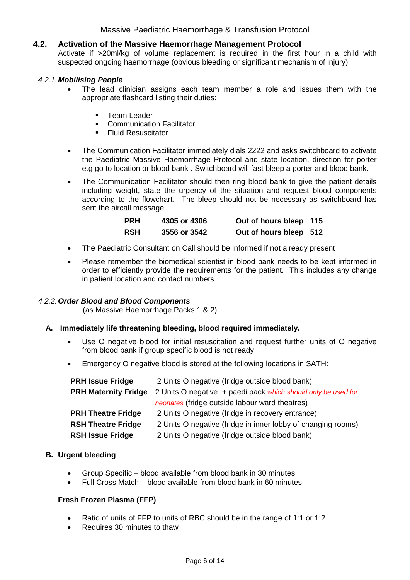## Massive Paediatric Haemorrhage & Transfusion Protocol

### <span id="page-6-0"></span>**4.2. Activation of the Massive Haemorrhage Management Protocol**

Activate if >20ml/kg of volume replacement is required in the first hour in a child with suspected ongoing haemorrhage (obvious bleeding or significant mechanism of injury)

#### <span id="page-6-1"></span>*4.2.1.Mobilising People*

- The lead clinician assigns each team member a role and issues them with the appropriate flashcard listing their duties:
	- **Team Leader**
	- **-** Communication Facilitator
	- **Fluid Resuscitator**
- The Communication Facilitator immediately dials 2222 and asks switchboard to activate the Paediatric Massive Haemorrhage Protocol and state location, direction for porter e.g go to location or blood bank . Switchboard will fast bleep a porter and blood bank.
- The Communication Facilitator should then ring blood bank to give the patient details including weight, state the urgency of the situation and request blood components according to the flowchart. The bleep should not be necessary as switchboard has sent the aircall message

| <b>PRH</b> | 4305 or 4306 | Out of hours bleep 115 |  |
|------------|--------------|------------------------|--|
| <b>RSH</b> | 3556 or 3542 | Out of hours bleep 512 |  |

- The Paediatric Consultant on Call should be informed if not already present
- Please remember the biomedical scientist in blood bank needs to be kept informed in order to efficiently provide the requirements for the patient. This includes any change in patient location and contact numbers

#### <span id="page-6-2"></span>*4.2.2.Order Blood and Blood Components*

(as Massive Haemorrhage Packs 1 & 2)

#### **A. Immediately life threatening bleeding, blood required immediately.**

- Use O negative blood for initial resuscitation and request further units of O negative from blood bank if group specific blood is not ready
- Emergency O negative blood is stored at the following locations in SATH:

| <b>PRH Issue Fridge</b>     | 2 Units O negative (fridge outside blood bank)                 |  |
|-----------------------------|----------------------------------------------------------------|--|
| <b>PRH Maternity Fridge</b> | 2 Units O negative .+ paedi pack which should only be used for |  |
|                             | <i>neonates</i> (fridge outside labour ward theatres)          |  |
| <b>PRH Theatre Fridge</b>   | 2 Units O negative (fridge in recovery entrance)               |  |
| <b>RSH Theatre Fridge</b>   | 2 Units O negative (fridge in inner lobby of changing rooms)   |  |
| <b>RSH Issue Fridge</b>     | 2 Units O negative (fridge outside blood bank)                 |  |

#### **B. Urgent bleeding**

- Group Specific blood available from blood bank in 30 minutes
- Full Cross Match blood available from blood bank in 60 minutes

#### **Fresh Frozen Plasma (FFP)**

- Ratio of units of FFP to units of RBC should be in the range of 1:1 or 1:2
- Requires 30 minutes to thaw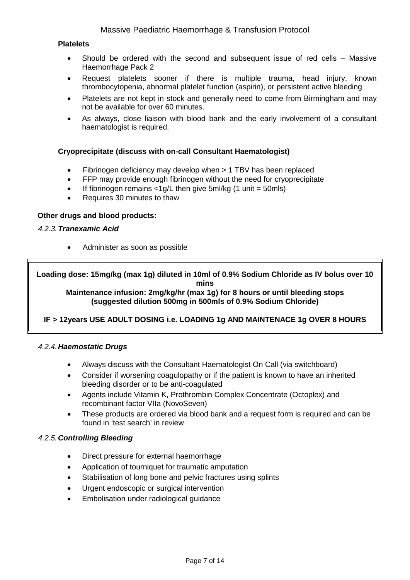#### **Platelets**

- Should be ordered with the second and subsequent issue of red cells Massive Haemorrhage Pack 2
- Request platelets sooner if there is multiple trauma, head injury, known thrombocytopenia, abnormal platelet function (aspirin), or persistent active bleeding
- Platelets are not kept in stock and generally need to come from Birmingham and may not be available for over 60 minutes.
- As always, close liaison with blood bank and the early involvement of a consultant haematologist is required.

#### **Cryoprecipitate (discuss with on-call Consultant Haematologist)**

- Fibrinogen deficiency may develop when > 1 TBV has been replaced
- FFP may provide enough fibrinogen without the need for cryoprecipitate
- If fibrinogen remains  $\langle 1g/L \rangle$  then give 5ml/kg (1 unit = 50mls)
- Requires 30 minutes to thaw

#### **Other drugs and blood products:**

#### <span id="page-7-0"></span>*4.2.3.Tranexamic Acid*

• Administer as soon as possible

**Loading dose: 15mg/kg (max 1g) diluted in 10ml of 0.9% Sodium Chloride as IV bolus over 10 mins**

**Maintenance infusion: 2mg/kg/hr (max 1g) for 8 hours or until bleeding stops (suggested dilution 500mg in 500mls of 0.9% Sodium Chloride)**

## **IF > 12years USE ADULT DOSING i.e. LOADING 1g AND MAINTENACE 1g OVER 8 HOURS**

#### <span id="page-7-1"></span>*4.2.4.Haemostatic Drugs*

- Always discuss with the Consultant Haematologist On Call (via switchboard)
- Consider if worsening coagulopathy or if the patient is known to have an inherited bleeding disorder or to be anti-coagulated
- Agents include Vitamin K, Prothrombin Complex Concentrate (Octoplex) and recombinant factor VIIa (NovoSeven)
- These products are ordered via blood bank and a request form is required and can be found in 'test search' in review

#### <span id="page-7-2"></span>*4.2.5.Controlling Bleeding*

- Direct pressure for external haemorrhage
- Application of tourniquet for traumatic amputation
- Stabilisation of long bone and pelvic fractures using splints
- Urgent endoscopic or surgical intervention
- Embolisation under radiological guidance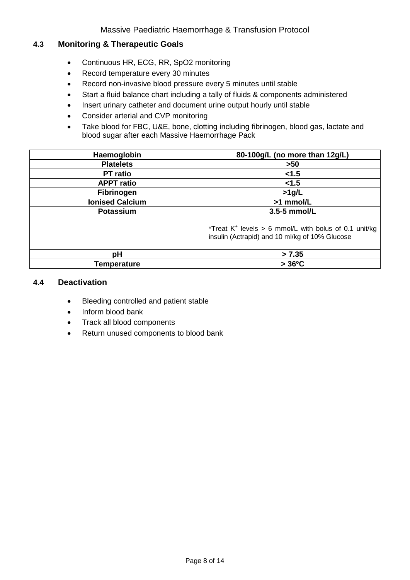## <span id="page-8-0"></span>**4.3 Monitoring & Therapeutic Goals**

- Continuous HR, ECG, RR, SpO2 monitoring
- Record temperature every 30 minutes
- Record non-invasive blood pressure every 5 minutes until stable
- Start a fluid balance chart including a tally of fluids & components administered
- Insert urinary catheter and document urine output hourly until stable
- Consider arterial and CVP monitoring
- Take blood for FBC, U&E, bone, clotting including fibrinogen, blood gas, lactate and blood sugar after each Massive Haemorrhage Pack

| Haemoglobin            | 80-100g/L (no more than 12g/L)                                                                                      |
|------------------------|---------------------------------------------------------------------------------------------------------------------|
| <b>Platelets</b>       | $>50$                                                                                                               |
| <b>PT</b> ratio        | < 1.5                                                                                                               |
| <b>APPT ratio</b>      | < 1.5                                                                                                               |
| <b>Fibrinogen</b>      | $>1$ g/L                                                                                                            |
| <b>Ionised Calcium</b> | >1 mmol/L                                                                                                           |
| <b>Potassium</b>       | 3.5-5 mmol/L                                                                                                        |
|                        | *Treat K <sup>+</sup> levels > 6 mmol/L with bolus of 0.1 unit/kg<br>insulin (Actrapid) and 10 ml/kg of 10% Glucose |
| pH                     | > 7.35                                                                                                              |
| Temperature            | $>36^{\circ}$ C                                                                                                     |

#### <span id="page-8-1"></span>**4.4 Deactivation**

- Bleeding controlled and patient stable
- Inform blood bank
- Track all blood components
- Return unused components to blood bank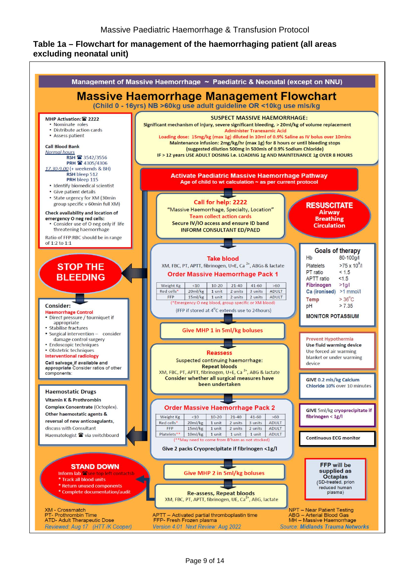## <span id="page-9-0"></span>**Table 1a – Flowchart for management of the haemorrhaging patient (all areas excluding neonatal unit)**

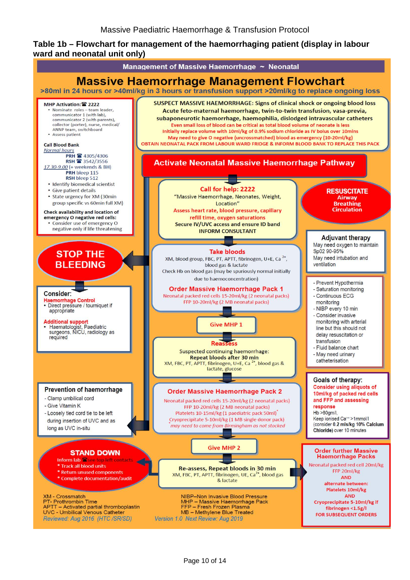## <span id="page-10-0"></span>**Table 1b – Flowchart for management of the haemorrhaging patient (display in labour ward and neonatal unit only)**

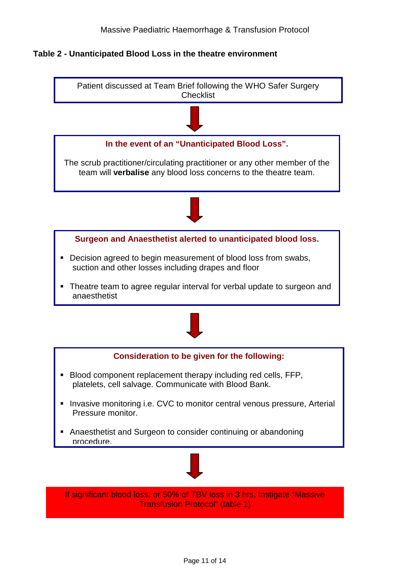<span id="page-11-0"></span>**Table 2 - Unanticipated Blood Loss in the theatre environment**

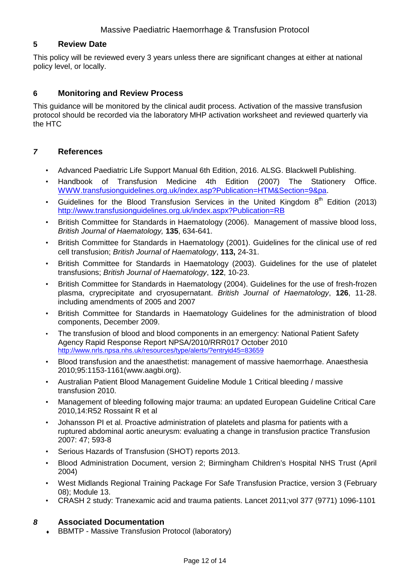## <span id="page-12-0"></span>**5 Review Date**

This policy will be reviewed every 3 years unless there are significant changes at either at national policy level, or locally.

## <span id="page-12-1"></span>**6 Monitoring and Review Process**

This guidance will be monitored by the clinical audit process. Activation of the massive transfusion protocol should be recorded via the laboratory MHP activation worksheet and reviewed quarterly via the HTC

## <span id="page-12-2"></span>*7* **References**

- Advanced Paediatric Life Support Manual 6th Edition, 2016. ALSG. Blackwell Publishing.
- Handbook of Transfusion Medicine 4th Edition (2007) The Stationery Office. [WWW.transfusionguidelines.org.uk/index.asp?Publication=HTM&Section=9&pa.](http://www.transfusionguidelines.org.uk/index.asp?Publication=HTM&Section=9&pa)
- Guidelines for the Blood Transfusion Services in the United Kingdom  $8<sup>th</sup>$  Edition (2013) <http://www.transfusionguidelines.org.uk/index.aspx?Publication=RB>
- British Committee for Standards in Haematology (2006). Management of massive blood loss, *British Journal of Haematology,* **135**, 634-641.
- British Committee for Standards in Haematology (2001). Guidelines for the clinical use of red cell transfusion; *British Journal of Haematology*, **113,** 24-31.
- British Committee for Standards in Haematology (2003). Guidelines for the use of platelet transfusions; *British Journal of Haematology*, **122**, 10-23.
- British Committee for Standards in Haematology (2004). Guidelines for the use of fresh-frozen plasma, cryprecipitate and cryosupernatant. *British Journal of Haematology*, **126**, 11-28. including amendments of 2005 and 2007
- British Committee for Standards in Haematology Guidelines for the administration of blood components, December 2009.
- The transfusion of blood and blood components in an emergency: National Patient Safety Agency Rapid Response Report NPSA/2010/RRR017 October 2010 <http://www.nrls.npsa.nhs.uk/resources/type/alerts/?entryid45=83659>
- Blood transfusion and the anaesthetist: management of massive haemorrhage. Anaesthesia 2010;95:1153-1161(www.aagbi.org).
- Australian Patient Blood Management Guideline Module 1 Critical bleeding / massive transfusion 2010.
- Management of bleeding following major trauma: an updated European Guideline Critical Care 2010,14:R52 Rossaint R et al
- Johansson PI et al. Proactive administration of platelets and plasma for patients with a ruptured abdominal aortic aneurysm: evaluating a change in transfusion practice Transfusion 2007: 47; 593-8
- Serious Hazards of Transfusion (SHOT) reports 2013.
- Blood Administration Document, version 2; Birmingham Children's Hospital NHS Trust (April 2004)
- West Midlands Regional Training Package For Safe Transfusion Practice, version 3 (February 08); Module 13.
- CRASH 2 study: Tranexamic acid and trauma patients. Lancet 2011;vol 377 (9771) 1096-1101

#### <span id="page-12-3"></span>*8* **Associated Documentation**

**BBMTP - Massive Transfusion Protocol (laboratory)**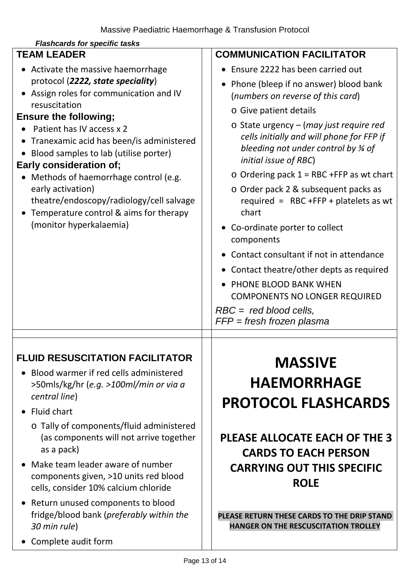<span id="page-13-0"></span>

| <b>Flashcards for specific tasks</b>                                                                                                             |                                                                                                                                                                               |  |  |
|--------------------------------------------------------------------------------------------------------------------------------------------------|-------------------------------------------------------------------------------------------------------------------------------------------------------------------------------|--|--|
| <b>TEAM LEADER</b>                                                                                                                               | <b>COMMUNICATION FACILITATOR</b>                                                                                                                                              |  |  |
| Activate the massive haemorrhage                                                                                                                 | Ensure 2222 has been carried out                                                                                                                                              |  |  |
| protocol (2222, state speciality)<br>Assign roles for communication and IV                                                                       | • Phone (bleep if no answer) blood bank<br>(numbers on reverse of this card)                                                                                                  |  |  |
| resuscitation<br><b>Ensure the following;</b>                                                                                                    | o Give patient details                                                                                                                                                        |  |  |
| Patient has IV access x 2<br>Tranexamic acid has been/is administered<br>Blood samples to lab (utilise porter)<br><b>Early consideration of;</b> | $\circ$ State urgency – (may just require red<br>cells initially and will phone for FFP if<br>bleeding not under control by $\frac{3}{4}$ of<br><i>initial issue of RBC</i> ) |  |  |
| Methods of haemorrhage control (e.g.                                                                                                             | $\circ$ Ordering pack 1 = RBC +FFP as wt chart<br>o Order pack 2 & subsequent packs as<br>required = $RBC + FFP + platelets$ as wt<br>chart                                   |  |  |
| early activation)<br>theatre/endoscopy/radiology/cell salvage<br>Temperature control & aims for therapy                                          |                                                                                                                                                                               |  |  |
| (monitor hyperkalaemia)                                                                                                                          | • Co-ordinate porter to collect<br>components                                                                                                                                 |  |  |
|                                                                                                                                                  | • Contact consultant if not in attendance                                                                                                                                     |  |  |
|                                                                                                                                                  | • Contact theatre/other depts as required                                                                                                                                     |  |  |
|                                                                                                                                                  | • PHONE BLOOD BANK WHEN                                                                                                                                                       |  |  |
|                                                                                                                                                  | <b>COMPONENTS NO LONGER REQUIRED</b>                                                                                                                                          |  |  |
|                                                                                                                                                  | $RBC = red blood cells,$<br>$FFP = fresh$ frozen plasma                                                                                                                       |  |  |
|                                                                                                                                                  |                                                                                                                                                                               |  |  |
| <b>FLUID RESUSCITATION FACILITATOR</b>                                                                                                           | <b>MASSIVE</b>                                                                                                                                                                |  |  |
| Blood warmer if red cells administered                                                                                                           | <b>HAEMORRHAGE</b>                                                                                                                                                            |  |  |
| >50mls/kg/hr (e.g. >100ml/min or via a<br>central line)                                                                                          |                                                                                                                                                                               |  |  |
| <b>Fluid chart</b>                                                                                                                               | <b>PROTOCOL FLASHCARDS</b>                                                                                                                                                    |  |  |
| o Tally of components/fluid administered<br>(as components will not arrive together<br>as a pack)                                                | PLEASE ALLOCATE EACH OF THE 3<br><b>CARDS TO EACH PERSON</b>                                                                                                                  |  |  |
| Make team leader aware of number<br>components given, >10 units red blood<br>cells, consider 10% calcium chloride                                | <b>CARRYING OUT THIS SPECIFIC</b><br><b>ROLE</b>                                                                                                                              |  |  |
| Return unused components to blood<br>fridge/blood bank (preferably within the<br>30 min rule)                                                    | PLEASE RETURN THESE CARDS TO THE DRIP STAND<br><b>HANGER ON THE RESCUSCITATION TROLLEY</b>                                                                                    |  |  |
| Complete audit form                                                                                                                              |                                                                                                                                                                               |  |  |